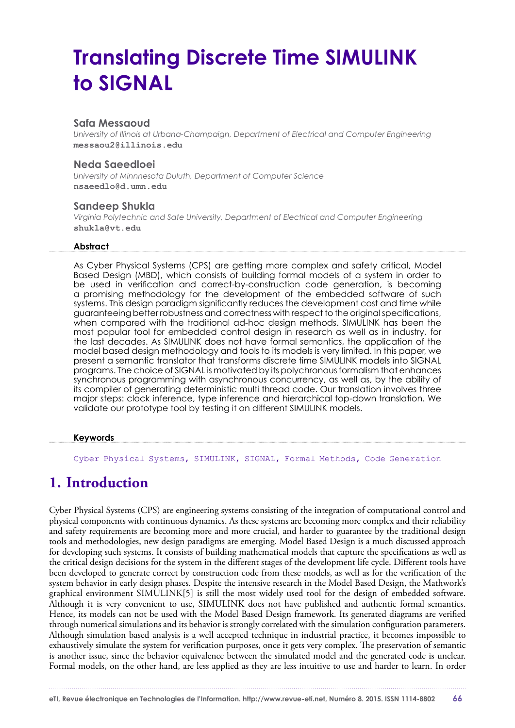# **Translating Discrete Time SIMULINK to SIGNAL**

#### **Safa Messaoud**

*University of Illinois at Urbana-Champaign, Department of Electrical and Computer Engineering* **messaou2@illinois.edu**

#### **Neda Saeedloei**

*University of Minnnesota Duluth, Department of Computer Science* **nsaeedlo@d.umn.edu**

#### **Sandeep Shukla**

*Virginia Polytechnic and Sate University, Department of Electrical and Computer Engineering* **shukla@vt.edu**

#### **Abstract**

As Cyber Physical Systems (CPS) are getting more complex and safety critical, Model Based Design (MBD), which consists of building formal models of a system in order to be used in verification and correct-by-construction code generation, is becoming a promising methodology for the development of the embedded software of such systems. This design paradigm significantly reduces the development cost and time while guaranteeing better robustness and correctness with respect to the original specifications, when compared with the traditional ad-hoc design methods. SIMULINK has been the most popular tool for embedded control design in research as well as in industry, for the last decades. As SIMULINK does not have formal semantics, the application of the model based design methodology and tools to its models is very limited. In this paper, we present a semantic translator that transforms discrete time SIMULINK models into SIGNAL programs. The choice of SIGNAL is motivated by its polychronous formalism that enhances synchronous programming with asynchronous concurrency, as well as, by the ability of its compiler of generating deterministic multi thread code. Our translation involves three major steps: clock inference, type inference and hierarchical top-down translation. We validate our prototype tool by testing it on different SIMULINK models.

#### **Keywords**

Cyber Physical Systems, SIMULINK, SIGNAL, Formal Methods, Code Generation

# **1. Introduction**

Cyber Physical Systems (CPS) are engineering systems consisting of the integration of computational control and physical components with continuous dynamics. As these systems are becoming more complex and their reliability and safety requirements are becoming more and more crucial, and harder to guarantee by the traditional design tools and methodologies, new design paradigms are emerging. Model Based Design is a much discussed approach for developing such systems. It consists of building mathematical models that capture the specifications as well as the critical design decisions for the system in the different stages of the development life cycle. Different tools have been developed to generate correct by construction code from these models, as well as for the verification of the system behavior in early design phases. Despite the intensive research in the Model Based Design, the Mathwork's graphical environment SIMULINK[5] is still the most widely used tool for the design of embedded software. Although it is very convenient to use, SIMULINK does not have published and authentic formal semantics. Hence, its models can not be used with the Model Based Design framework. Its generated diagrams are verified through numerical simulations and its behavior is strongly correlated with the simulation configuration parameters. Although simulation based analysis is a well accepted technique in industrial practice, it becomes impossible to exhaustively simulate the system for verification purposes, once it gets very complex. The preservation of semantic is another issue, since the behavior equivalence between the simulated model and the generated code is unclear. Formal models, on the other hand, are less applied as they are less intuitive to use and harder to learn. In order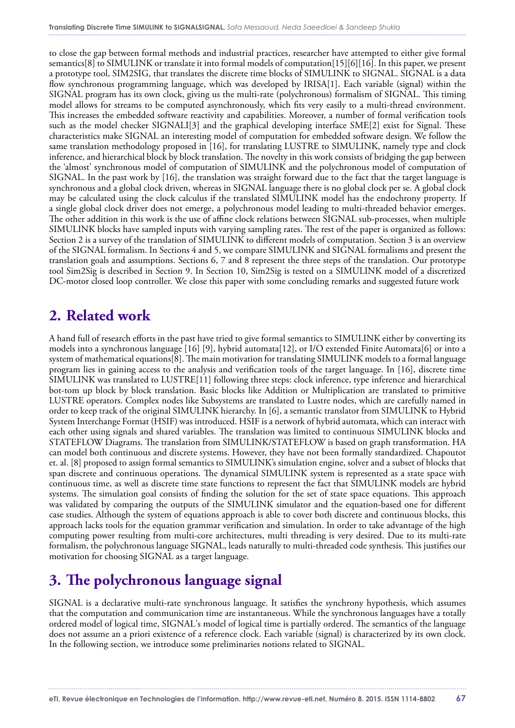to close the gap between formal methods and industrial practices, researcher have attempted to either give formal semantics[8] to SIMULINK or translate it into formal models of computation[15][6][16]. In this paper, we present a prototype tool, SIM2SIG, that translates the discrete time blocks of SIMULINK to SIGNAL. SIGNAL is a data flow synchronous programming language, which was developed by IRISA[1]. Each variable (signal) within the SIGNAL program has its own clock, giving us the multi-rate (polychronous) formalism of SIGNAL. This timing model allows for streams to be computed asynchronously, which fits very easily to a multi-thread environment. This increases the embedded software reactivity and capabilities. Moreover, a number of formal verification tools such as the model checker SIGNALI[3] and the graphical developing interface SME[2] exist for Signal. These characteristics make SIGNAL an interesting model of computation for embedded software design. We follow the same translation methodology proposed in [16], for translating LUSTRE to SIMULINK, namely type and clock inference, and hierarchical block by block translation. The novelty in this work consists of bridging the gap between the 'almost' synchronous model of computation of SIMULINK and the polychronous model of computation of SIGNAL. In the past work by [16], the translation was straight forward due to the fact that the target language is synchronous and a global clock driven, whereas in SIGNAL language there is no global clock per se. A global clock may be calculated using the clock calculus if the translated SIMULINK model has the endochrony property. If a single global clock driver does not emerge, a polychronous model leading to multi-threaded behavior emerges. The other addition in this work is the use of affine clock relations between SIGNAL sub-processes, when multiple SIMULINK blocks have sampled inputs with varying sampling rates. The rest of the paper is organized as follows: Section 2 is a survey of the translation of SIMULINK to different models of computation. Section 3 is an overview of the SIGNAL formalism. In Sections 4 and 5, we compare SIMULINK and SIGNAL formalisms and present the translation goals and assumptions. Sections 6, 7 and 8 represent the three steps of the translation. Our prototype tool Sim2Sig is described in Section 9. In Section 10, Sim2Sig is tested on a SIMULINK model of a discretized DC-motor closed loop controller. We close this paper with some concluding remarks and suggested future work

# **2. Related work**

A hand full of research efforts in the past have tried to give formal semantics to SIMULINK either by converting its models into a synchronous language [16] [9], hybrid automata[12], or I/O extended Finite Automata[6] or into a system of mathematical equations[8]. The main motivation for translating SIMULINK models to a formal language program lies in gaining access to the analysis and verification tools of the target language. In [16], discrete time SIMULINK was translated to LUSTRE[11] following three steps: clock inference, type inference and hierarchical bot-tom up block by block translation. Basic blocks like Addition or Multiplication are translated to primitive LUSTRE operators. Complex nodes like Subsystems are translated to Lustre nodes, which are carefully named in order to keep track of the original SIMULINK hierarchy. In [6], a semantic translator from SIMULINK to Hybrid System Interchange Format (HSIF) was introduced. HSIF is a network of hybrid automata, which can interact with each other using signals and shared variables. The translation was limited to continuous SIMULINK blocks and STATEFLOW Diagrams. The translation from SIMULINK/STATEFLOW is based on graph transformation. HA can model both continuous and discrete systems. However, they have not been formally standardized. Chapoutot et. al. [8] proposed to assign formal semantics to SIMULINK's simulation engine, solver and a subset of blocks that span discrete and continuous operations. The dynamical SIMULINK system is represented as a state space with continuous time, as well as discrete time state functions to represent the fact that SIMULINK models are hybrid systems. The simulation goal consists of finding the solution for the set of state space equations. This approach was validated by comparing the outputs of the SIMULINK simulator and the equation-based one for different case studies. Although the system of equations approach is able to cover both discrete and continuous blocks, this approach lacks tools for the equation grammar verification and simulation. In order to take advantage of the high computing power resulting from multi-core architectures, multi threading is very desired. Due to its multi-rate formalism, the polychronous language SIGNAL, leads naturally to multi-threaded code synthesis. This justifies our motivation for choosing SIGNAL as a target language.

# **3. The polychronous language signal**

SIGNAL is a declarative multi-rate synchronous language. It satisfies the synchrony hypothesis, which assumes that the computation and communication time are instantaneous. While the synchronous languages have a totally ordered model of logical time, SIGNAL's model of logical time is partially ordered. The semantics of the language does not assume an a priori existence of a reference clock. Each variable (signal) is characterized by its own clock. In the following section, we introduce some preliminaries notions related to SIGNAL.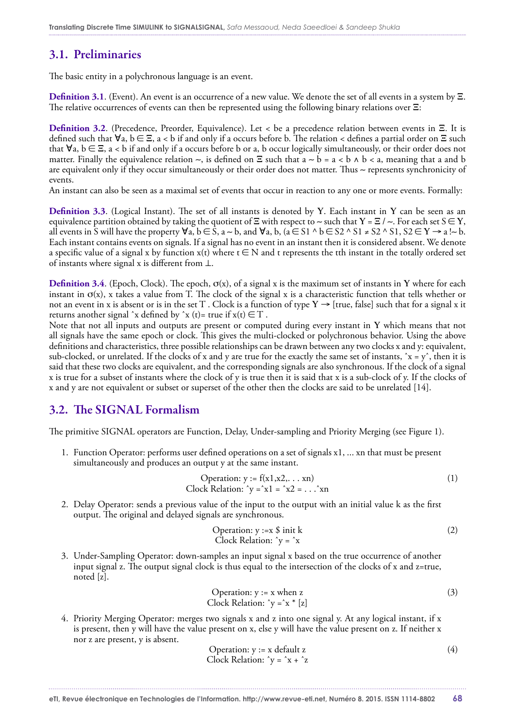### 3.1. Preliminaries

The basic entity in a polychronous language is an event.

**Definition 3.1**. (Event). An event is an occurrence of a new value. We denote the set of all events in a system by Ξ. The relative occurrences of events can then be represented using the following binary relations over Ξ:

**Definition 3.2**. (Precedence, Preorder, Equivalence). Let < be a precedence relation between events in Ξ. It is defined such that  $\forall$ a, b ∈ Ξ, a < b if and only if a occurs before b. The relation < defines a partial order on Ξ such that  $\forall a, b \in \Xi$ ,  $a < b$  if and only if a occurs before b or a, b occur logically simultaneously, or their order does not matter. Finally the equivalence relation  $\sim$ , is defined on  $\Xi$  such that a  $\sim$  b = a < b ∧ b < a, meaning that a and b are equivalent only if they occur simultaneously or their order does not matter. Thus ∼ represents synchronicity of events.

An instant can also be seen as a maximal set of events that occur in reaction to any one or more events. Formally:

**Definition 3.3**. (Logical Instant). The set of all instants is denoted by Υ. Each instant in Υ can be seen as an equivalence partition obtained by taking the quotient of  $\Xi$  with respect to ~ such that  $Y = \Xi / \sim$ . For each set  $S \in Y$ , all events in S will have the property  $\forall a, b \in \hat{S}$ ,  $a \sim b$ , and  $\forall a, b$ ,  $(a \in S1 \land b \in S2 \land S1 \neq S2 \land S1, S2 \in Y \rightarrow a \sim b$ . Each instant contains events on signals. If a signal has no event in an instant then it is considered absent. We denote a specific value of a signal x by function  $x(t)$  where  $t \in N$  and t represents the tth instant in the totally ordered set of instants where signal x is different from ⊥.

**Definition 3.4.** (Epoch, Clock). The epoch,  $\sigma(x)$ , of a signal x is the maximum set of instants in Y where for each instant in  $\sigma(x)$ , x takes a value from T. The clock of the signal x is a characteristic function that tells whether or not an event in x is absent or is in the set T. Clock is a function of type  $Y \rightarrow$  [true, false] such that for a signal x it returns another signal  $\hat{x}$  defined by  $\hat{x}$  (t)= true if  $x(t) \in T$ .

Note that not all inputs and outputs are present or computed during every instant in Υ which means that not all signals have the same epoch or clock. This gives the multi-clocked or polychronous behavior. Using the above definitions and characteristics, three possible relationships can be drawn between any two clocks x and y: equivalent, sub-clocked, or unrelated. If the clocks of x and y are true for the exactly the same set of instants,  $\hat{x} = y$ , then it is said that these two clocks are equivalent, and the corresponding signals are also synchronous. If the clock of a signal x is true for a subset of instants where the clock of y is true then it is said that x is a sub-clock of y. If the clocks of x and y are not equivalent or subset or superset of the other then the clocks are said to be unrelated [14].

#### 3.2. The SIGNAL Formalism

The primitive SIGNAL operators are Function, Delay, Under-sampling and Priority Merging (see Figure 1).

1. Function Operator: performs user defined operations on a set of signals x1, ... xn that must be present simultaneously and produces an output y at the same instant.

Operation: 
$$
y := f(x1, x2, ... xn)
$$
  
Clock Relation:  $y = x1 = x2 = ...xn$  (1)

2. Delay Operator: sends a previous value of the input to the output with an initial value k as the first output. The original and delayed signals are synchronous.

Operation: 
$$
y := x \$ \text{init k}
$$
 (2)  
Clock Relation:  $\gamma = \hat{x}$ 

3. Under-Sampling Operator: down-samples an input signal x based on the true occurrence of another input signal z. The output signal clock is thus equal to the intersection of the clocks of x and  $z=true$ , noted [z].

Operation: 
$$
y := x
$$
 when  $z$ 

\nClock Relation:  $y = x * [z]$ 

4. Priority Merging Operator: merges two signals x and z into one signal y. At any logical instant, if x is present, then y will have the value present on x, else y will have the value present on z. If neither x nor z are present, y is absent.

Operation: 
$$
y := x \text{ default } z
$$
 (4)  
Clock Relation:  $y = x + z$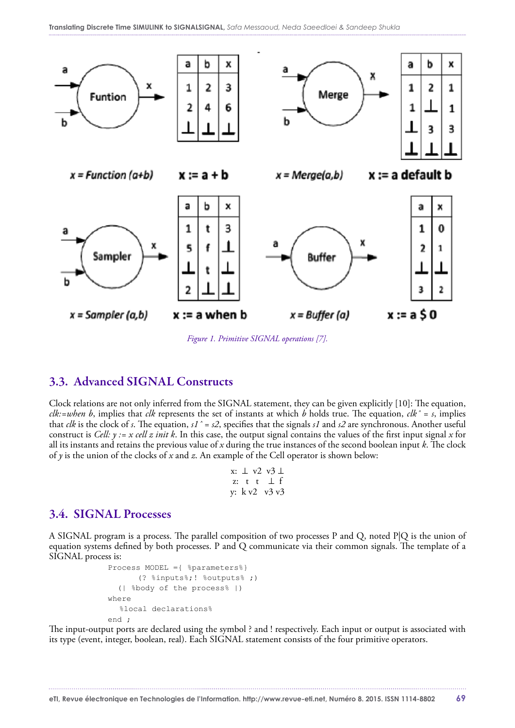

*Figure 1. Primitive SIGNAL operations [7].*

#### 3.3. Advanced SIGNAL Constructs

Clock relations are not only inferred from the SIGNAL statement, they can be given explicitly [10]: The equation, *clk:=when b*, implies that *clk* represents the set of instants at which *b* holds true. The equation, *clkˆ = s*, implies that *clk* is the clock of *s*. The equation, *s1ˆ = s2*, specifies that the signals *s1* and *s2* are synchronous. Another useful construct is *Cell: y := x cell z init k*. In this case, the output signal contains the values of the first input signal *x* for all its instants and retains the previous value of *x* during the true instances of the second boolean input *k*. The clock of *y* is the union of the clocks of *x* and *z*. An example of the Cell operator is shown below:

```
x: ⊥ v2 v3 ⊥
z: t t ⊥ f
y: k v2 v3 v3
```
#### 3.4. SIGNAL Processes

A SIGNAL program is a process. The parallel composition of two processes P and Q, noted P|Q is the union of equation systems defined by both processes. P and Q communicate via their common signals. The template of a SIGNAL process is:

```
 Process MODEL ={ %parameters%}
        (? %inputs%;! %outputs% ;)
   (| %body of the process% |)
 where
   %local declarations%
 end ;
```
The input-output ports are declared using the symbol ? and ! respectively. Each input or output is associated with its type (event, integer, boolean, real). Each SIGNAL statement consists of the four primitive operators.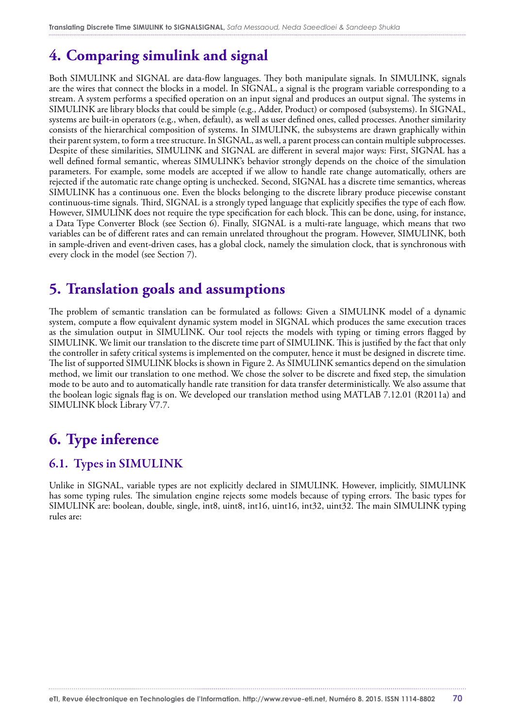# **4. Comparing simulink and signal**

Both SIMULINK and SIGNAL are data-flow languages. They both manipulate signals. In SIMULINK, signals are the wires that connect the blocks in a model. In SIGNAL, a signal is the program variable corresponding to a stream. A system performs a specified operation on an input signal and produces an output signal. The systems in SIMULINK are library blocks that could be simple (e.g., Adder, Product) or composed (subsystems). In SIGNAL, systems are built-in operators (e.g., when, default), as well as user defined ones, called processes. Another similarity consists of the hierarchical composition of systems. In SIMULINK, the subsystems are drawn graphically within their parent system, to form a tree structure. In SIGNAL, as well, a parent process can contain multiple subprocesses. Despite of these similarities, SIMULINK and SIGNAL are different in several major ways: First, SIGNAL has a well defined formal semantic, whereas SIMULINK's behavior strongly depends on the choice of the simulation parameters. For example, some models are accepted if we allow to handle rate change automatically, others are rejected if the automatic rate change opting is unchecked. Second, SIGNAL has a discrete time semantics, whereas SIMULINK has a continuous one. Even the blocks belonging to the discrete library produce piecewise constant continuous-time signals. Third, SIGNAL is a strongly typed language that explicitly specifies the type of each flow. However, SIMULINK does not require the type specification for each block. This can be done, using, for instance, a Data Type Converter Block (see Section 6). Finally, SIGNAL is a multi-rate language, which means that two variables can be of different rates and can remain unrelated throughout the program. However, SIMULINK, both in sample-driven and event-driven cases, has a global clock, namely the simulation clock, that is synchronous with every clock in the model (see Section 7).

# **5. Translation goals and assumptions**

The problem of semantic translation can be formulated as follows: Given a SIMULINK model of a dynamic system, compute a flow equivalent dynamic system model in SIGNAL which produces the same execution traces as the simulation output in SIMULINK. Our tool rejects the models with typing or timing errors flagged by SIMULINK. We limit our translation to the discrete time part of SIMULINK. This is justified by the fact that only the controller in safety critical systems is implemented on the computer, hence it must be designed in discrete time. The list of supported SIMULINK blocks is shown in Figure 2. As SIMULINK semantics depend on the simulation method, we limit our translation to one method. We chose the solver to be discrete and fixed step, the simulation mode to be auto and to automatically handle rate transition for data transfer deterministically. We also assume that the boolean logic signals flag is on. We developed our translation method using MATLAB 7.12.01 (R2011a) and SIMULINK block Library V7.7.

# **6. Type inference**

### 6.1. Types in SIMULINK

Unlike in SIGNAL, variable types are not explicitly declared in SIMULINK. However, implicitly, SIMULINK has some typing rules. The simulation engine rejects some models because of typing errors. The basic types for SIMULINK are: boolean, double, single, int8, uint8, int16, uint16, int32, uint32. The main SIMULINK typing rules are: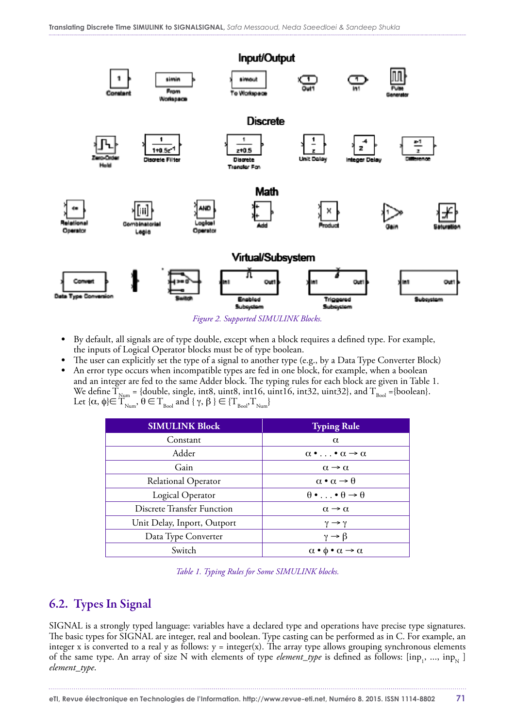

*Figure 2. Supported SIMULINK Blocks.*

- **•** By default, all signals are of type double, except when a block requires a defined type. For example, the inputs of Logical Operator blocks must be of type boolean.
- **•** The user can explicitly set the type of a signal to another type (e.g., by a Data Type Converter Block)
- **•** An error type occurs when incompatible types are fed in one block, for example, when a boolean and an integer are fed to the same Adder block. The typing rules for each block are given in Table 1. We define  $T_{\text{Num}} =$  {double, single, int8, uint8, int16, uint16, int32, uint32}, and  $T_{\text{Bool}} =$ {boolean}. Let  $\{\alpha, \phi\} \in T_{\text{Num}}$ ,  $\theta \in T_{\text{Bool}}$  and  $\{\gamma, \beta\} \in \{T_{\text{Bool}}^{}, T_{\text{Num}}^{}\}$

| <b>SIMULINK Block</b>             | <b>Typing Rule</b>                                      |
|-----------------------------------|---------------------------------------------------------|
| Constant                          | $\alpha$                                                |
| Adder                             | $\alpha \bullet \ldots \bullet \alpha \to \alpha$       |
| Gain                              | $\alpha \rightarrow \alpha$                             |
| Relational Operator               | $\alpha \bullet \alpha \rightarrow \theta$              |
| Logical Operator                  | $\theta \bullet \ldots \bullet \theta \to \theta$       |
| <b>Discrete Transfer Function</b> | $\alpha \rightarrow \alpha$                             |
| Unit Delay, Inport, Outport       | $\gamma \rightarrow \gamma$                             |
| Data Type Converter               | $\gamma \rightarrow \beta$                              |
| Switch                            | $\alpha \bullet \phi \bullet \alpha \rightarrow \alpha$ |

*Table 1. Typing Rules for Some SIMULINK blocks.*

### 6.2. Types In Signal

SIGNAL is a strongly typed language: variables have a declared type and operations have precise type signatures. The basic types for SIGNAL are integer, real and boolean. Type casting can be performed as in C. For example, an integer x is converted to a real y as follows:  $y = integer(x)$ . The array type allows grouping synchronous elements of the same type. An array of size N with elements of type *element\_type* is defined as follows: [inp<sub>1</sub>, ..., inp<sub>N</sub>] *element\_type*.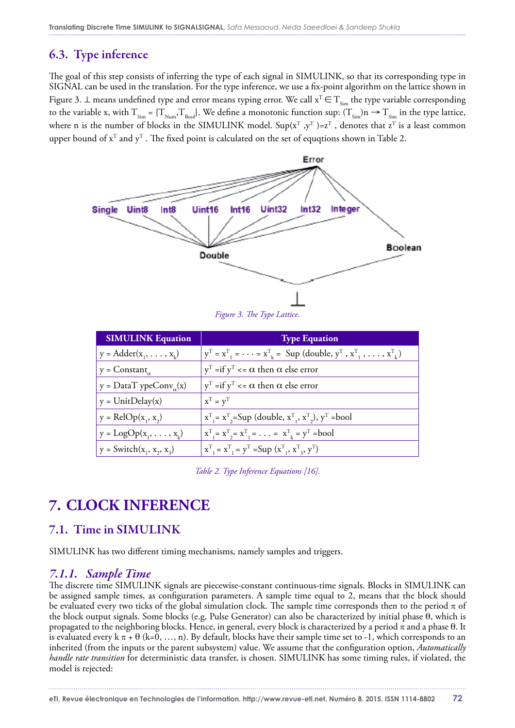### 6.3. Type inference

The goal of this step consists of inferring the type of each signal in SIMULINK, so that its corresponding type in SIGNAL can be used in the translation. For the type inference, we use a fix-point algorithm on the lattice shown in Figure 3. ⊥ means undefined type and error means typing error. We call  $x^T \in T_{s_{im}}$  the type variable corresponding to the variable x, with  $T_{\text{Sim}} = \{T_{\text{Num}}, T_{\text{Bool}}\}$ . We define a monotonic function sup:  $(T_{\text{Sim}})n \rightarrow T_{\text{Sim}}$  in the type lattice, where n is the number of blocks in the SIMULINK model. Sup( $x^T$ , $y^T$ )= $z^T$ , denotes that  $z^T$  is a least common upper bound of  $x^T$  and  $y^T$ . The fixed point is calculated on the set of equqtions shown in Table 2.



| <b>SIMULINK Equation</b>       | <b>Type Equation</b>                                                                                                 |
|--------------------------------|----------------------------------------------------------------------------------------------------------------------|
| $y = Adder(x_1, \ldots, x_k)$  | $y^T = x^T$ , $= \cdots = x^T$ = Sup (double, $y^T$ , $x^T$ , $\ldots$ , $x^T$ )                                     |
| $y = Constant_{\alpha}$        | $y^T =$ if $y^T \le \alpha$ then $\alpha$ else error                                                                 |
| $y = DataTypeConv_{\alpha}(x)$ | $y^T =$ if $y^T \le \alpha$ then $\alpha$ else error                                                                 |
| $y = UnitDelay(x)$             | $\mathbf{x}^{\mathrm{T}} = \mathbf{y}^{\mathrm{T}}$                                                                  |
| $y = \text{RelOp}(x_1, x_2)$   | $x^T$ <sub>1</sub> = $x^T$ <sub>2</sub> =Sup (double, $x^T$ <sub>1</sub> , $x^T$ <sub>2</sub> ), $y^T$ =bool         |
| $y = LogOp(x_1, \ldots, x_k)$  | $X^{T}$ <sub>1</sub> = $X^{T}$ <sub>2</sub> = $X^{T}$ <sub>1</sub> = $\ldots$ = $X^{T}$ <sub>k</sub> = $Y^{T}$ =bool |
| $y = Switch(x_1, x_2, x_3)$    | $x_{1}^{T} = x_{1}^{T} = y^{T} = Sup (x_{1}^{T}, x_{3}^{T}, y^{T})$                                                  |

*Table 2. Type Inference Equations [16].*

# **7. CLOCK INFERENCE**

#### 7.1. Time in SIMULINK

SIMULINK has two different timing mechanisms, namely samples and triggers.

#### *7.1.1. Sample Time*

The discrete time SIMULINK signals are piecewise-constant continuous-time signals. Blocks in SIMULINK can be assigned sample times, as configuration parameters. A sample time equal to 2, means that the block should be evaluated every two ticks of the global simulation clock. The sample time corresponds then to the period  $\pi$  of the block output signals. Some blocks (e.g, Pulse Generator) can also be characterized by initial phase θ, which is propagated to the neighboring blocks. Hence, in general, every block is characterized by a period π and a phase θ. It is evaluated every  $k \pi + \theta$  (k=0, ..., n). By default, blocks have their sample time set to -1, which corresponds to an inherited (from the inputs or the parent subsystem) value. We assume that the configuration option, *Automatically handle rate transition* for deterministic data transfer, is chosen. SIMULINK has some timing rules, if violated, the model is rejected: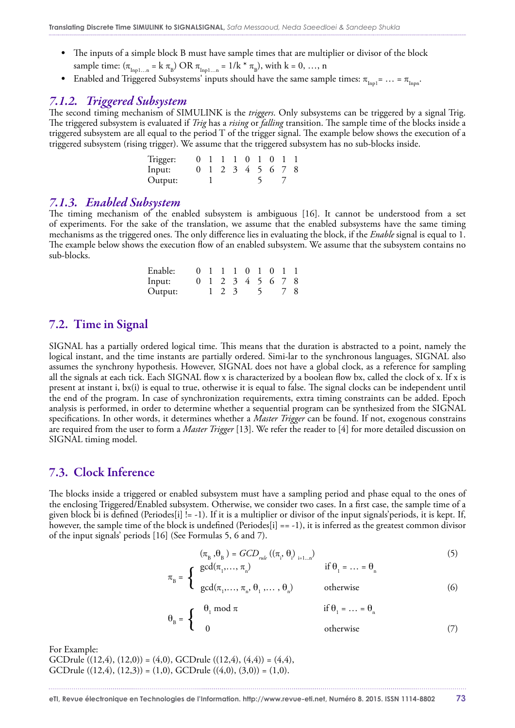- **•** The inputs of a simple block B must have sample times that are multiplier or divisor of the block sample time:  $(\pi_{\text{Inpl...n}} = k \pi_B) \text{ OR } \pi_{\text{Inpl...n}} = 1/k * \pi_B$ , with  $k = 0, ..., n$
- Enabled and Triggered Subsystems' inputs should have the same sample times:  $\pi_{\text{Inpl}} = ... = \pi_{\text{Inpn}}$ .

#### *7.1.2. Triggered Subsystem*

The second timing mechanism of SIMULINK is the *triggers*. Only subsystems can be triggered by a signal Trig. The triggered subsystem is evaluated if *Trig* has a *rising* or *falling* transition. The sample time of the blocks inside a triggered subsystem are all equal to the period  $T$  of the trigger signal. The example below shows the execution of a triggered subsystem (rising trigger). We assume that the triggered subsystem has no sub-blocks inside.

| Trigger: |  |  | 0 1 1 1 0 1 0 1 1 |  |  |
|----------|--|--|-------------------|--|--|
| lnput:   |  |  | 0 1 2 3 4 5 6 7 8 |  |  |
| Output:  |  |  |                   |  |  |

#### *7.1.3. Enabled Subsystem*

The timing mechanism of the enabled subsystem is ambiguous [16]. It cannot be understood from a set of experiments. For the sake of the translation, we assume that the enabled subsystems have the same timing mechanisms as the triggered ones. The only difference lies in evaluating the block, if the *Enable* signal is equal to 1. The example below shows the execution flow of an enabled subsystem. We assume that the subsystem contains no sub-blocks.

| Enable: |  | 0 1 1 1 0 1 0 1 1 |  |  |  |
|---------|--|-------------------|--|--|--|
| Input:  |  | 0 1 2 3 4 5 6 7 8 |  |  |  |
| Output: |  | 1 2 3 5 7 8       |  |  |  |

#### 7.2. Time in Signal

SIGNAL has a partially ordered logical time. This means that the duration is abstracted to a point, namely the logical instant, and the time instants are partially ordered. Simi-lar to the synchronous languages, SIGNAL also assumes the synchrony hypothesis. However, SIGNAL does not have a global clock, as a reference for sampling all the signals at each tick. Each SIGNAL flow x is characterized by a boolean flow bx, called the clock of x. If x is present at instant i, bx(i) is equal to true, otherwise it is equal to false. The signal clocks can be independent until the end of the program. In case of synchronization requirements, extra timing constraints can be added. Epoch analysis is performed, in order to determine whether a sequential program can be synthesized from the SIGNAL specifications. In other words, it determines whether a *Master Trigger* can be found. If not, exogenous constrains are required from the user to form a *Master Trigger* [13]. We refer the reader to [4] for more detailed discussion on SIGNAL timing model.

#### 7.3. Clock Inference

The blocks inside a triggered or enabled subsystem must have a sampling period and phase equal to the ones of the enclosing Triggered/Enabled subsystem. Otherwise, we consider two cases. In a first case, the sample time of a given block bi is defined (Periodes[i] != -1). If it is a multiplier or divisor of the input signals'periods, it is kept. If, however, the sample time of the block is undefined (Periodes[i]  $=$   $-1$ ), it is inferred as the greatest common divisor of the input signals' periods [16] (See Formulas 5, 6 and 7).

$$
(\pi_{\mathbf{B}} \cdot \theta_{\mathbf{B}}) = GCD_{rule} ((\pi_{\mathbf{I}}, \theta_{\mathbf{I}})_{i=1...n})
$$
\n
$$
\pi_{\mathbf{B}} = \begin{cases}\n\gcd(\pi_1, \dots, \pi_n) & \text{if } \theta_1 = \dots = \theta_n \\
\gcd(\pi_1, \dots, \pi_n, \theta_1, \dots, \theta_n) & \text{otherwise}\n\end{cases}
$$
\n(5)

$$
\theta_{\rm B} = \begin{cases}\n\theta_1 \mod \pi & \text{if } \theta_1 = \dots = \theta_{\rm n} \\
0 & \text{otherwise}\n\end{cases}
$$
\n(7)

For Example: GCDrule  $((12,4), (12,0)) = (4,0),$  GCDrule  $((12,4), (4,4)) = (4,4),$ GCDrule  $((12,4), (12,3)) = (1,0),$  GCDrule  $((4,0), (3,0)) = (1,0).$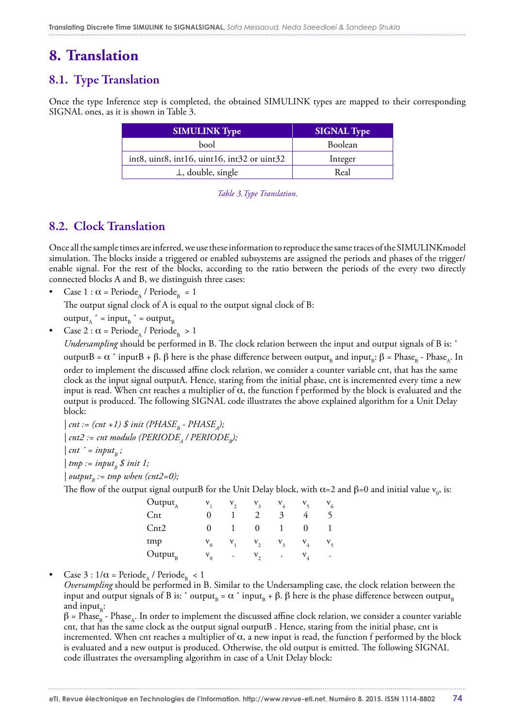# **8. Translation**

### 8.1. Type Translation

Once the type Inference step is completed, the obtained SIMULINK types are mapped to their corresponding SIGNAL ones, as it is shown in Table 3.

| <b>SIMULINK Type</b>                                             | <b>SIGNAL Type</b> |
|------------------------------------------------------------------|--------------------|
| bool                                                             | <b>Boolean</b>     |
| $int8$ , uint $8$ , int $16$ , uint $16$ , int $32$ or uint $32$ | Integer            |
| $\perp$ , double, single                                         | Real               |

*Table 3.Type Translation.*

### 8.2. Clock Translation

Once all the sample times are inferred, we use these information to reproduce the same traces of the SIMULINKmodel simulation. The blocks inside a triggered or enabled subsystems are assigned the periods and phases of the trigger/ enable signal. For the rest of the blocks, according to the ratio between the periods of the every two directly connected blocks A and B, we distinguish three cases:

Case 1 :  $\alpha$  = Periode<sub>A</sub> / Periode<sub>R</sub> = 1

The output signal clock of A is equal to the output signal clock of B:

output<sub>A</sub>  $^{\wedge}$  = input<sub>R</sub>  $^{\wedge}$  = output<sub>R</sub>

Case 2 :  $\alpha$  = Periode<sub>A</sub> / Periode<sub>R</sub> > 1

*Undersampling* should be performed in B. The clock relation between the input and output signals of B is: ˆ outputB =  $\alpha$   $\hat{\ }$  inputB +  $\beta$ . β here is the phase difference between output<sub>a</sub> and input<sub>a</sub>: β = Phase<sub>a</sub> - Phase<sub>A</sub>. In order to implement the discussed affine clock relation, we consider a counter variable cnt, that has the same clock as the input signal outputA. Hence, staring from the initial phase, cnt is incremented every time a new input is read. When cnt reaches a multiplier of  $\alpha$ , the function f performed by the block is evaluated and the output is produced. The following SIGNAL code illustrates the above explained algorithm for a Unit Delay block:

 $|$  cnt := (cnt +1)  $\oint$  init (PHASE<sub>p</sub> - PHASE<sub>s</sub>);  $|$  cnt2 := cnt modulo (PERIODE<sub>A</sub> / PERIODE<sub>R</sub>);  $\int$  *cnt*  $\hat{i}$  = *input*<sub>p</sub>;  $\vert$  tmp := input<sub>n</sub> \$ init 1; | output<sub>n</sub> := tmp when (cnt2=0);

The flow of the output signal outputB for the Unit Delay block, with  $\alpha$ =2 and β=0 and initial value  $v_o$ , is:

| $Output_A$      | $V_{1}$  | $V_{2}$     | $V_3$            | $V_4$   | $V_{\zeta}$        | $V_{6}$     |
|-----------------|----------|-------------|------------------|---------|--------------------|-------------|
| $_{\rm Cnt}$    |          |             |                  | 3       | 4                  |             |
| $\mathrm{Cnt2}$ | $\theta$ |             | $\bf{0}$         |         | $\theta$           |             |
| tmp             |          | $V_0$ $V_1$ | $\mathbf{v}_{2}$ | $V_3$   | $V_{4}$            | $V_{\zeta}$ |
| $Output_{B}$    | $V_{0}$  | $\bullet$   | $V_{2}$          | $\cdot$ | ${\rm V}_{_{\!A}}$ | $\bullet$   |

Case 3 :  $1/\alpha$  = Periode<sub>A</sub> / Periode<sub>R</sub> < 1

*Oversampling* should be performed in B. Similar to the Undersampling case, the clock relation between the input and output signals of B is:  $\hat{ }$  output<sub>R</sub> =  $\alpha$   $\hat{ }$  input<sub>R</sub> +  $\beta$ .  $\beta$  here is the phase difference between output<sub>R</sub> and input $_{\rm B}$ :

 $\beta$  = Phase<sub>R</sub> - Phase<sub>A</sub>. In order to implement the discussed affine clock relation, we consider a counter variable cnt, that has the same clock as the output signal outputB . Hence, staring from the initial phase, cnt is incremented. When cnt reaches a multiplier of  $\alpha$ , a new input is read, the function f performed by the block is evaluated and a new output is produced. Otherwise, the old output is emitted. The following SIGNAL code illustrates the oversampling algorithm in case of a Unit Delay block: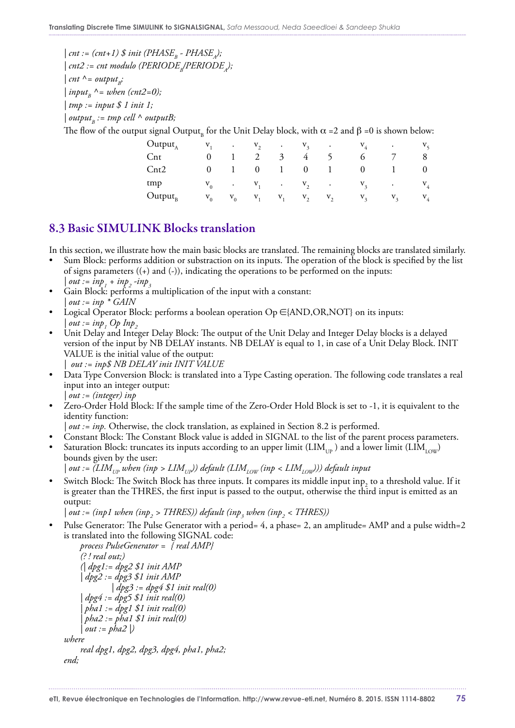$|$  cnt := (cnt+1)  $\$  init (PHASE<sub>R</sub> - PHASE<sub>A</sub>);  $|$  cnt2 := cnt modulo (PERIODE<sub>n</sub>/PERIODE<sub>n</sub>);  $|$  *cnt*  $^{\wedge}$  = *output*<sub>B</sub>;  $\int$ *input<sub>p</sub>*  $\wedge$  = *when (cnt2=0)*; *| tmp := input \$ 1 init 1;*  $\int$ *output<sub>p</sub>* := *tmp cell*  $\wedge$  *outputB*;

The flow of the output signal Output<sub>n</sub> for the Unit Delay block, with  $\alpha =2$  and  $\beta =0$  is shown below:

| $Output_A$      |       |              |          |              |                             |                 | $V_1$ . $V_2$ . $V_3$ . $V_4$ .       |                | $V_{\zeta}$    |
|-----------------|-------|--------------|----------|--------------|-----------------------------|-----------------|---------------------------------------|----------------|----------------|
| $_{\text{Cnt}}$ | 0     | $\mathbf{1}$ |          |              | $2 \quad 3 \quad 4 \quad 5$ |                 | 6                                     | $\overline{7}$ | 8              |
| $\mathrm{Cnt2}$ | 0     | $\mathbf{1}$ | $\bf{0}$ | $\mathbf{1}$ | $\bf{0}$                    | $\sim$ 1 $\sim$ | $\theta$                              |                | $\overline{0}$ |
| tmp             |       |              |          |              |                             |                 | $V_0$ . $V_1$ . $V_2$ . $V_3$ . $V_4$ |                |                |
| $Output_{R}$    | $V_0$ | $V_0$        |          |              | $V_1$ $V_1$ $V_2$           | $V_{2}$         | $V_{3}$                               | $V_{3}$        | $V_4$          |

### 8.3 Basic SIMULINK Blocks translation

In this section, we illustrate how the main basic blocks are translated. The remaining blocks are translated similarly.

- Sum Block: performs addition or substraction on its inputs. The operation of the block is specified by the list of signs parameters  $((+)$  and  $(-))$ , indicating the operations to be performed on the inputs:  $\int out := inp_1 + inp_2 -inp_3$
- Gain Block: performs a multiplication of the input with a constant: *| out := inp \* GAIN*
- Logical Operator Block: performs a boolean operation Op  $\in$  {AND,OR,NOT} on its inputs:  $\int out := np_1 \, Op \, Inp_2$
- Unit Delay and Integer Delay Block: The output of the Unit Delay and Integer Delay blocks is a delayed version of the input by NB DELAY instants. NB DELAY is equal to 1, in case of a Unit Delay Block. INIT VALUE is the initial value of the output:

*| out := inp\$ NB DELAY init INIT VALUE*

- Data Type Conversion Block: is translated into a Type Casting operation. The following code translates a real input into an integer output: *| out := (integer) inp*
- Zero-Order Hold Block: If the sample time of the Zero-Order Hold Block is set to -1, it is equivalent to the identity function:
- *| out := inp.* Otherwise, the clock translation, as explained in Section 8.2 is performed.
- Constant Block: The Constant Block value is added in SIGNAL to the list of the parent process parameters.
- Saturation Block: truncates its inputs according to an upper limit (LIM<sub>IP</sub>) and a lower limit (LIM<sub>IOW</sub>) bounds given by the user:  $| out := (LIM_{ID} when (inp > LIM_{ID}))$  default  $(LIM_{ION} (inp < LIM_{ION}))$  default input
- Switch Block: The Switch Block has three inputs. It compares its middle input inp<sub>2</sub> to a threshold value. If it is greater than the THRES, the first input is passed to the output, otherwise the third input is emitted as an output:

| out := (inp1 when (inp<sub>2</sub> > THRES)) default (inp<sub>3</sub> when (inp<sub>2</sub> < THRES))

Pulse Generator: The Pulse Generator with a period= 4, a phase= 2, an amplitude= AMP and a pulse width=2 is translated into the following SIGNAL code:

```
 process PulseGenerator = { real AMP} 
     (? ! real out;) 
      (| dpg1:= dpg2 $1 init AMP
      | dpg2 := dpg3 $1 init AMP
               | dpg3 := dpg4 $1 init real(0)
      | dpg4 := dpg5 $1 init real(0)
      | pha1 := dpg1 $1 init real(0)
      | pha2 := pha1 $1 init real(0)
      | out := pha2 |)
where
      real dpg1, dpg2, dpg3, dpg4, pha1, pha2;
end;
```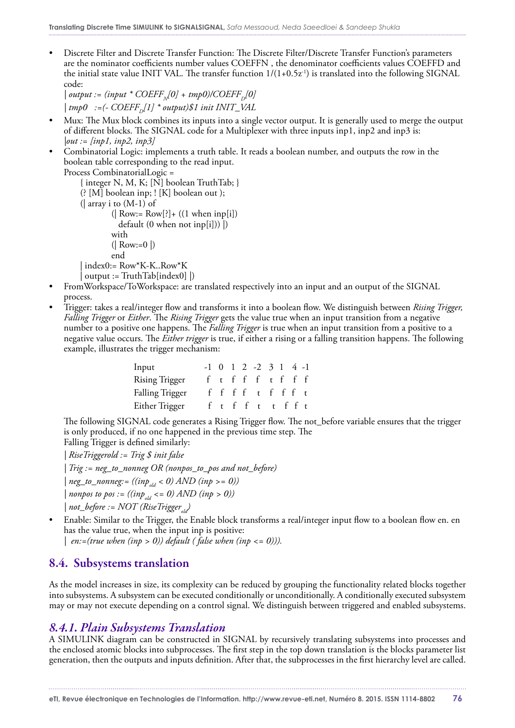• Discrete Filter and Discrete Transfer Function: The Discrete Filter/Discrete Transfer Function's parameters are the nominator coefficients number values COEFFN , the denominator coefficients values COEFFD and the initial state value INIT VAL. The transfer function  $1/(1+0.5z^{-1})$  is translated into the following SIGNAL code:

 $|$  *output := (input \* COEFF<sub>N</sub>[0] + tmp0)/COEFF<sub>n</sub>[0]*  $\vert$  tmp0 :=(- COEFF<sub>D</sub>[1] \* output)\$1 init INIT\_VAL

- Mux: The Mux block combines its inputs into a single vector output. It is generally used to merge the output of different blocks. The SIGNAL code for a Multiplexer with three inputs inp1, inp2 and inp3 is: *|out := [inp1, inp2, inp3]*
- Combinatorial Logic: implements a truth table. It reads a boolean number, and outputs the row in the boolean table corresponding to the read input. Process CombinatorialLogic =

```
 { integer N, M, K; [N] boolean TruthTab; } 
 (? [M] boolean inp; ! [K] boolean out );
 (| array i to (M-1) of
         (| Row:= Row[?]+ ((1 when inp[i])
           default (0 when not inp[i])) |)
         with
        (| Row:=0|) end
 | index0:= Row*K-K..Row*K
 output := TruthTab[index0]
```
- FromWorkspace/ToWorkspace: are translated respectively into an input and an output of the SIGNAL process.
- Trigger: takes a real/integer flow and transforms it into a boolean flow. We distinguish between *Rising Trigger, Falling Trigger* or *Either*. The *Rising Trigger* gets the value true when an input transition from a negative number to a positive one happens. The *Falling Trigger* is true when an input transition from a positive to a negative value occurs. The *Either trigger* is true, if either a rising or a falling transition happens. The following example, illustrates the trigger mechanism:

| Input                            |           |  | $-1$ 0 1 2 $-2$ 3 1 4 $-1$ |  |  |
|----------------------------------|-----------|--|----------------------------|--|--|
| Rising Trigger f t f f f t f f f |           |  |                            |  |  |
| Falling Trigger                  | fffftffft |  |                            |  |  |
| Either Trigger f t f f t t f f t |           |  |                            |  |  |

The following SIGNAL code generates a Rising Trigger flow. The not\_before variable ensures that the trigger is only produced, if no one happened in the previous time step. The Falling Trigger is defined similarly:

*| RiseTriggerold := Trig \$ init false*

*| Trig := neg\_to\_nonneg OR (nonpos\_to\_pos and not\_before)*

 $|neg_to\_nonneg:=((inp_{old} < 0) AND (inp >= 0))$ 

 $|$  nonpos to pos :=  $((inp_{old} < = 0)$  AND  $(np > 0)$ )

 $| not_b$  *before := NOT (Rise Trigger*)

• Enable: Similar to the Trigger, the Enable block transforms a real/integer input flow to a boolean flow en. en has the value true, when the input inp is positive:

*| en:=(true when (inp > 0)) default ( false when (inp <= 0))).*

### 8.4. Subsystems translation

As the model increases in size, its complexity can be reduced by grouping the functionality related blocks together into subsystems. A subsystem can be executed conditionally or unconditionally. A conditionally executed subsystem may or may not execute depending on a control signal. We distinguish between triggered and enabled subsystems.

#### *8.4.1. Plain Subsystems Translation*

A SIMULINK diagram can be constructed in SIGNAL by recursively translating subsystems into processes and the enclosed atomic blocks into subprocesses. The first step in the top down translation is the blocks parameter list generation, then the outputs and inputs definition. After that, the subprocesses in the first hierarchy level are called.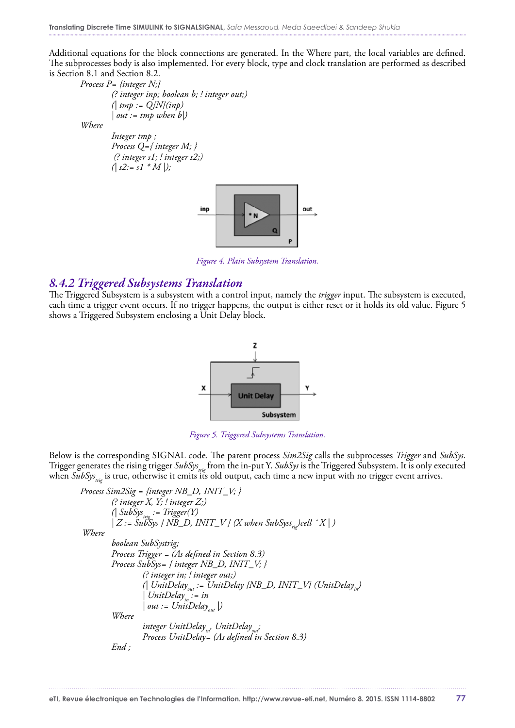Additional equations for the block connections are generated. In the Where part, the local variables are defined. The subprocesses body is also implemented. For every block, type and clock translation are performed as described is Section 8.1 and Section 8.2.

 *Process P= {integer N;}*

 *(? integer inp; boolean b; ! integer out;) (| tmp := Q{N}(inp) | out := tmp when b|) Where Integer tmp ; Process Q={ integer M; } (? integer s1; ! integer s2;)*  $( | s2:= s1 * M | )$ ;



*Figure 4. Plain Subsystem Translation.*

#### *8.4.2 Triggered Subsystems Translation*

The Triggered Subsystem is a subsystem with a control input, namely the *trigger* input. The subsystem is executed, each time a trigger event occurs. If no trigger happens, the output is either reset or it holds its old value. Figure 5 shows a Triggered Subsystem enclosing a Unit Delay block.



*Figure 5. Triggered Subsystems Translation.*

Below is the corresponding SIGNAL code. The parent process *Sim2Sig* calls the subprocesses *Trigger* and *SubSys*. Trigger generates the rising trigger *SubSys<sub>trig</sub>* from the in-put Y. *SubSys* is the Triggered Subsystem. It is only executed when *SubSys<sub>trig</sub>* is true, otherwise it emits its old output, each time a new input with no trigger event arrives.

```
 Process Sim2Sig = {integer NB_D, INIT_V; }
           (? integer X, Y; ! integer Z;) 
           \bigcap SubSys_{\text{trig}} := Trigger(Y)|Z := \overline{Suk} \overline{Sys} { N\overline{B\_D}, INIT\_V } (X when SubSyst<sub>rig</sub>)cell \hat{X} | )
 Where 
            boolean SubSystrig; 
           Process Trigger = (As defined in Section 8.3)
           Process SubSys= { integer NB_D, INIT_V; }
                      (? integer in; ! integer out;)
                     (| UnitDelay<sub>out</sub> := UnitDelay {NB_D, INIT_V} (UnitDelay<sub>in</sub>)
                     | UnitDelay<sub>in</sub> := in
                     | out := UnitDelay_{out} | Where
                      integer UnitDelayin, UnitDelayout;
                      Process UnitDelay= (As defined in Section 8.3)
           End ;
```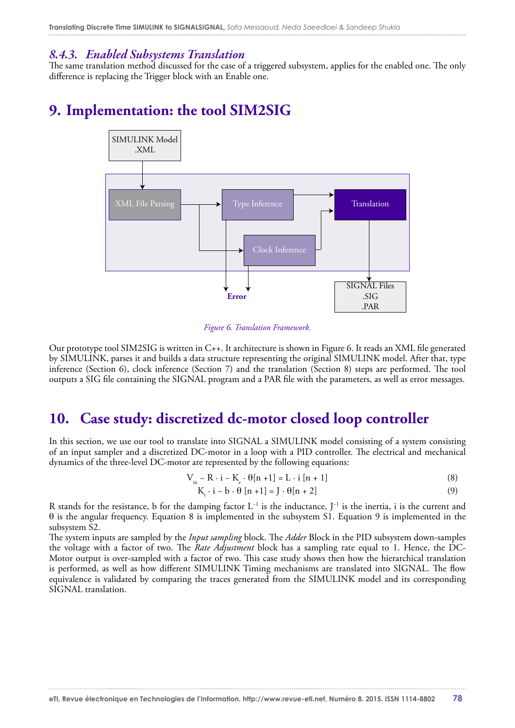#### *8.4.3. Enabled Subsystems Translation*

The same translation method discussed for the case of a triggered subsystem, applies for the enabled one. The only difference is replacing the Trigger block with an Enable one.

# **9. Implementation: the tool SIM2SIG**



*Figure 6. Translation Framework.*

Our prototype tool SIM2SIG is written in C++. It architecture is shown in Figure 6. It reads an XML file generated by SIMULINK, parses it and builds a data structure representing the original SIMULINK model. After that, type inference (Section 6), clock inference (Section 7) and the translation (Section 8) steps are performed. The tool outputs a SIG file containing the SIGNAL program and a PAR file with the parameters, as well as error messages.

### **10. Case study: discretized dc-motor closed loop controller**

In this section, we use our tool to translate into SIGNAL a SIMULINK model consisting of a system consisting of an input sampler and a discretized DC-motor in a loop with a PID controller. The electrical and mechanical dynamics of the three-level DC-motor are represented by the following equations:

$$
V_{in} - R \cdot i - K_e \cdot \theta[n+1] = L \cdot i [n+1]
$$
 (8)

$$
K_{t} \cdot i - b \cdot \theta [n+1] = J \cdot \theta [n+2]
$$
 (9)

R stands for the resistance, b for the damping factor L<sup>-1</sup> is the inductance, J<sup>-1</sup> is the inertia, i is the current and θ is the angular frequency. Equation 8 is implemented in the subsystem S1. Equation 9 is implemented in the subsystem S2.

The system inputs are sampled by the *Input sampling* block. The *Adder* Block in the PID subsystem down-samples the voltage with a factor of two. The *Rate Adjustment* block has a sampling rate equal to 1. Hence, the DC-Motor output is over-sampled with a factor of two. This case study shows then how the hierarchical translation is performed, as well as how different SIMULINK Timing mechanisms are translated into SIGNAL. The flow equivalence is validated by comparing the traces generated from the SIMULINK model and its corresponding SIGNAL translation.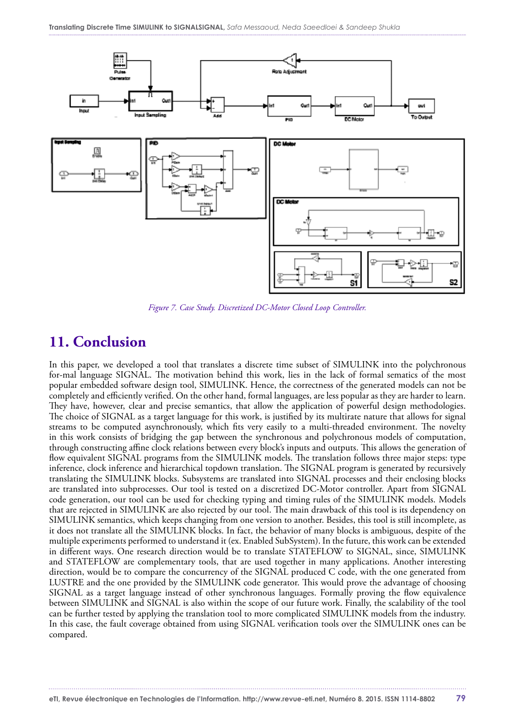

*Figure 7. Case Study. Discretized DC-Motor Closed Loop Controller.*

### **11. Conclusion**

In this paper, we developed a tool that translates a discrete time subset of SIMULINK into the polychronous for-mal language SIGNAL. The motivation behind this work, lies in the lack of formal sematics of the most popular embedded software design tool, SIMULINK. Hence, the correctness of the generated models can not be completely and efficiently verified. On the other hand, formal languages, are less popular as they are harder to learn. They have, however, clear and precise semantics, that allow the application of powerful design methodologies. The choice of SIGNAL as a target language for this work, is justified by its multirate nature that allows for signal streams to be computed asynchronously, which fits very easily to a multi-threaded environment. The novelty in this work consists of bridging the gap between the synchronous and polychronous models of computation, through constructing affine clock relations between every block's inputs and outputs. This allows the generation of flow equivalent SIGNAL programs from the SIMULINK models. The translation follows three major steps: type inference, clock inference and hierarchical topdown translation. The SIGNAL program is generated by recursively translating the SIMULINK blocks. Subsystems are translated into SIGNAL processes and their enclosing blocks are translated into subprocesses. Our tool is tested on a discretized DC-Motor controller. Apart from SIGNAL code generation, our tool can be used for checking typing and timing rules of the SIMULINK models. Models that are rejected in SIMULINK are also rejected by our tool. The main drawback of this tool is its dependency on SIMULINK semantics, which keeps changing from one version to another. Besides, this tool is still incomplete, as it does not translate all the SIMULINK blocks. In fact, the behavior of many blocks is ambiguous, despite of the multiple experiments performed to understand it (ex. Enabled SubSystem). In the future, this work can be extended in different ways. One research direction would be to translate STATEFLOW to SIGNAL, since, SIMULINK and STATEFLOW are complementary tools, that are used together in many applications. Another interesting direction, would be to compare the concurrency of the SIGNAL produced C code, with the one generated from LUSTRE and the one provided by the SIMULINK code generator. This would prove the advantage of choosing SIGNAL as a target language instead of other synchronous languages. Formally proving the flow equivalence between SIMULINK and SIGNAL is also within the scope of our future work. Finally, the scalability of the tool can be further tested by applying the translation tool to more complicated SIMULINK models from the industry. In this case, the fault coverage obtained from using SIGNAL verification tools over the SIMULINK ones can be compared.